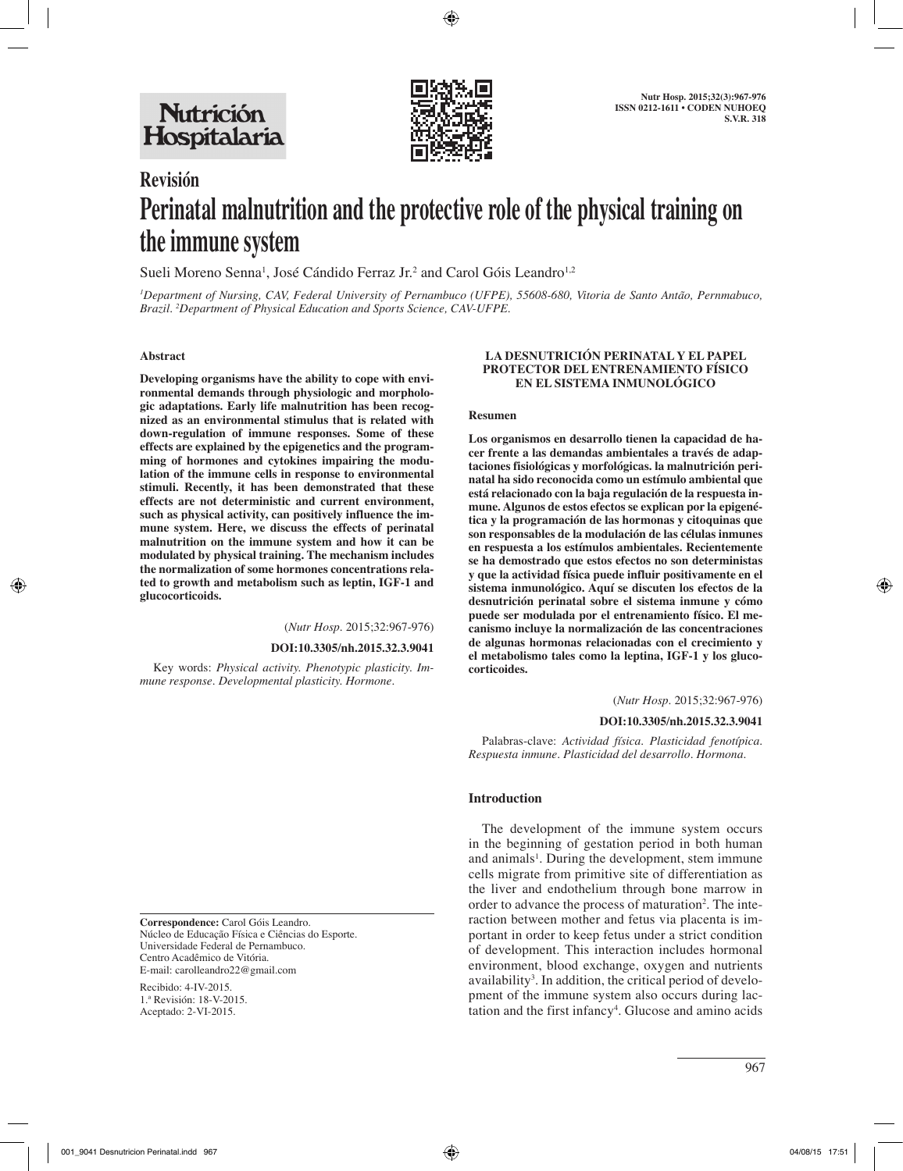

# **Revisión Perinatal malnutrition and the protective role of the physical training on the immune system**

Sueli Moreno Senna<sup>1</sup>, José Cándido Ferraz Jr.<sup>2</sup> and Carol Góis Leandro<sup>1,2</sup>

*1 Department of Nursing, CAV, Federal University of Pernambuco (UFPE), 55608-680, Vitoria de Santo Antão, Pernmabuco, Brazil. 2 Department of Physical Education and Sports Science, CAV-UFPE.*

## **Abstract**

**Developing organisms have the ability to cope with environmental demands through physiologic and morphologic adaptations. Early life malnutrition has been recognized as an environmental stimulus that is related with down-regulation of immune responses. Some of these effects are explained by the epigenetics and the programming of hormones and cytokines impairing the modulation of the immune cells in response to environmental stimuli. Recently, it has been demonstrated that these effects are not deterministic and current environment, such as physical activity, can positively influence the immune system. Here, we discuss the effects of perinatal malnutrition on the immune system and how it can be modulated by physical training. The mechanism includes the normalization of some hormones concentrations related to growth and metabolism such as leptin, IGF-1 and glucocorticoids.**

(*Nutr Hosp.* 2015;32:967-976)

#### **DOI:10.3305/nh.2015.32.3.9041**

Key words: *Physical activity. Phenotypic plasticity. Immune response. Developmental plasticity. Hormone.*

### **LA DESNUTRICIÓN PERINATAL Y EL PAPEL PROTECTOR DEL ENTRENAMIENTO FÍSICO EN EL SISTEMA INMUNOLÓGICO**

#### **Resumen**

**Los organismos en desarrollo tienen la capacidad de hacer frente a las demandas ambientales a través de adaptaciones fisiológicas y morfológicas. la malnutrición perinatal ha sido reconocida como un estímulo ambiental que está relacionado con la baja regulación de la respuesta inmune. Algunos de estos efectos se explican por la epigenética y la programación de las hormonas y citoquinas que son responsables de la modulación de las células inmunes en respuesta a los estímulos ambientales. Recientemente se ha demostrado que estos efectos no son deterministas y que la actividad física puede influir positivamente en el sistema inmunológico. Aquí se discuten los efectos de la desnutrición perinatal sobre el sistema inmune y cómo puede ser modulada por el entrenamiento físico. El mecanismo incluye la normalización de las concentraciones de algunas hormonas relacionadas con el crecimiento y el metabolismo tales como la leptina, IGF-1 y los glucocorticoides.**

(*Nutr Hosp.* 2015;32:967-976)

#### **DOI:10.3305/nh.2015.32.3.9041**

Palabras-clave: *Actividad física. Plasticidad fenotípica. Respuesta inmune. Plasticidad del desarrollo. Hormona.*

#### **Introduction**

The development of the immune system occurs in the beginning of gestation period in both human and animals<sup>1</sup>. During the development, stem immune cells migrate from primitive site of differentiation as the liver and endothelium through bone marrow in order to advance the process of maturation<sup>2</sup>. The interaction between mother and fetus via placenta is important in order to keep fetus under a strict condition of development. This interaction includes hormonal environment, blood exchange, oxygen and nutrients availability<sup>3</sup>. In addition, the critical period of development of the immune system also occurs during lactation and the first infancy<sup>4</sup>. Glucose and amino acids

**Correspondence:** Carol Góis Leandro. Núcleo de Educação Física e Ciências do Esporte. Universidade Federal de Pernambuco. Centro Acadêmico de Vitória. E-mail: carolleandro22@gmail.com

Recibido: 4-IV-2015. 1.ª Revisión: 18-V-2015. Aceptado: 2-VI-2015.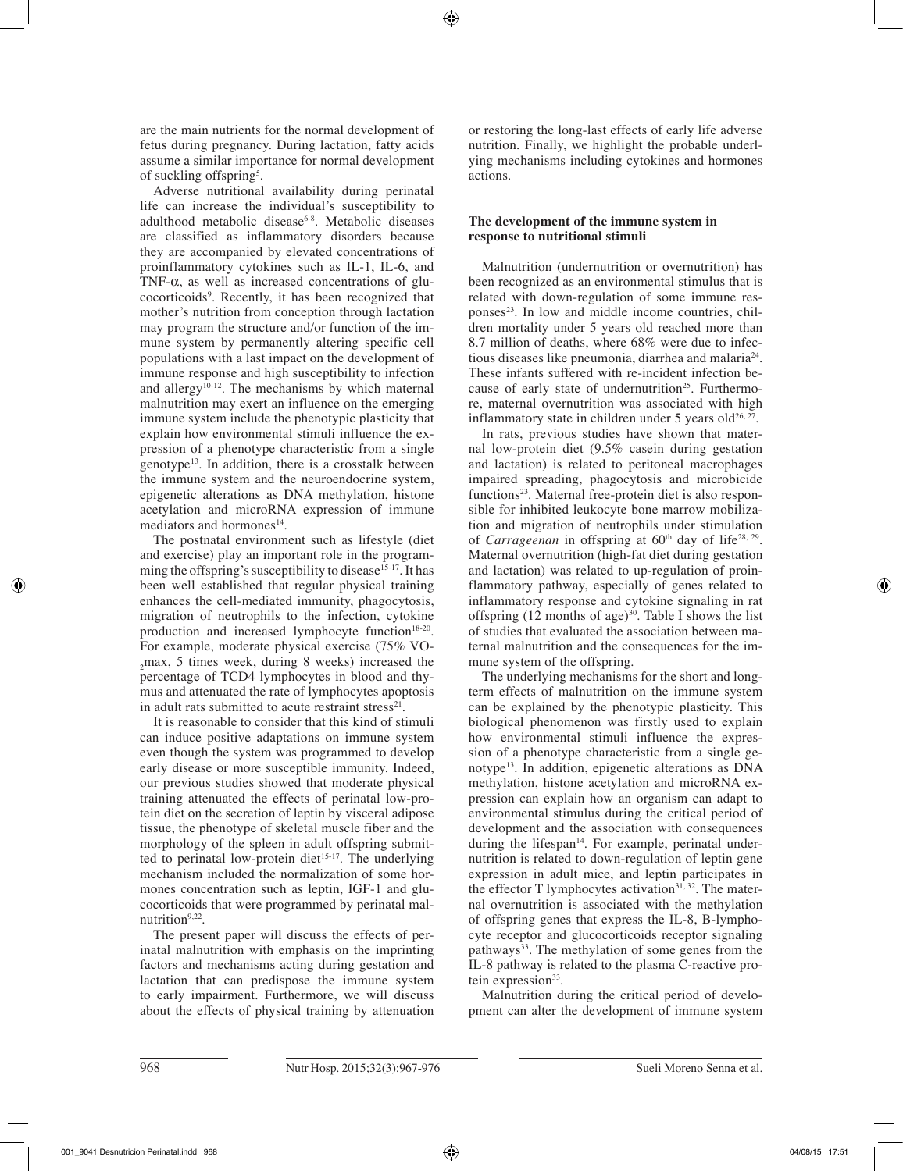are the main nutrients for the normal development of fetus during pregnancy. During lactation, fatty acids assume a similar importance for normal development of suckling offspring<sup>5</sup>.

Adverse nutritional availability during perinatal life can increase the individual's susceptibility to adulthood metabolic disease<sup>6-8</sup>. Metabolic diseases are classified as inflammatory disorders because they are accompanied by elevated concentrations of proinflammatory cytokines such as IL-1, IL-6, and TNF- $\alpha$ , as well as increased concentrations of glucocorticoids9 . Recently, it has been recognized that mother's nutrition from conception through lactation may program the structure and/or function of the immune system by permanently altering specific cell populations with a last impact on the development of immune response and high susceptibility to infection and allergy<sup>10-12</sup>. The mechanisms by which maternal malnutrition may exert an influence on the emerging immune system include the phenotypic plasticity that explain how environmental stimuli influence the expression of a phenotype characteristic from a single genotype<sup>13</sup>. In addition, there is a crosstalk between the immune system and the neuroendocrine system, epigenetic alterations as DNA methylation, histone acetylation and microRNA expression of immune mediators and hormones<sup>14</sup>.

The postnatal environment such as lifestyle (diet and exercise) play an important role in the programming the offspring's susceptibility to disease<sup>15-17</sup>. It has been well established that regular physical training enhances the cell-mediated immunity, phagocytosis, migration of neutrophils to the infection, cytokine production and increased lymphocyte function<sup>18-20</sup>. For example, moderate physical exercise (75% VO-2 percentage of TCD4 lymphocytes in blood and thymax, 5 times week, during 8 weeks) increased the mus and attenuated the rate of lymphocytes apoptosis in adult rats submitted to acute restraint stress $21$ .

It is reasonable to consider that this kind of stimuli can induce positive adaptations on immune system even though the system was programmed to develop early disease or more susceptible immunity. Indeed, our previous studies showed that moderate physical training attenuated the effects of perinatal low-protein diet on the secretion of leptin by visceral adipose tissue, the phenotype of skeletal muscle fiber and the morphology of the spleen in adult offspring submitted to perinatal low-protein diet $15-17$ . The underlying mechanism included the normalization of some hormones concentration such as leptin, IGF-1 and glucocorticoids that were programmed by perinatal malnutrition $9,22$ .

The present paper will discuss the effects of perinatal malnutrition with emphasis on the imprinting factors and mechanisms acting during gestation and lactation that can predispose the immune system to early impairment. Furthermore, we will discuss about the effects of physical training by attenuation or restoring the long-last effects of early life adverse nutrition. Finally, we highlight the probable underlying mechanisms including cytokines and hormones actions.

# **The development of the immune system in response to nutritional stimuli**

Malnutrition (undernutrition or overnutrition) has been recognized as an environmental stimulus that is related with down-regulation of some immune responses<sup>23</sup>. In low and middle income countries, children mortality under 5 years old reached more than 8.7 million of deaths, where 68% were due to infectious diseases like pneumonia, diarrhea and malaria24. These infants suffered with re-incident infection because of early state of undernutrition<sup>25</sup>. Furthermore, maternal overnutrition was associated with high inflammatory state in children under 5 years old $26, 27$ .

In rats, previous studies have shown that maternal low-protein diet (9.5% casein during gestation and lactation) is related to peritoneal macrophages impaired spreading, phagocytosis and microbicide functions<sup>23</sup>. Maternal free-protein diet is also responsible for inhibited leukocyte bone marrow mobilization and migration of neutrophils under stimulation of *Carrageenan* in offspring at  $60<sup>th</sup>$  day of life<sup>28, 29</sup>. Maternal overnutrition (high-fat diet during gestation and lactation) was related to up-regulation of proinflammatory pathway, especially of genes related to inflammatory response and cytokine signaling in rat offspring  $(12 \text{ months of age})^{30}$ . Table I shows the list of studies that evaluated the association between maternal malnutrition and the consequences for the immune system of the offspring.

The underlying mechanisms for the short and longterm effects of malnutrition on the immune system can be explained by the phenotypic plasticity. This biological phenomenon was firstly used to explain how environmental stimuli influence the expression of a phenotype characteristic from a single genotype<sup>13</sup>. In addition, epigenetic alterations as DNA methylation, histone acetylation and microRNA expression can explain how an organism can adapt to environmental stimulus during the critical period of development and the association with consequences during the lifespan $14$ . For example, perinatal undernutrition is related to down-regulation of leptin gene expression in adult mice, and leptin participates in the effector T lymphocytes activation<sup>31, 32</sup>. The maternal overnutrition is associated with the methylation of offspring genes that express the IL-8, B-lymphocyte receptor and glucocorticoids receptor signaling pathways<sup>33</sup>. The methylation of some genes from the IL-8 pathway is related to the plasma C-reactive protein expression $33$ .

Malnutrition during the critical period of development can alter the development of immune system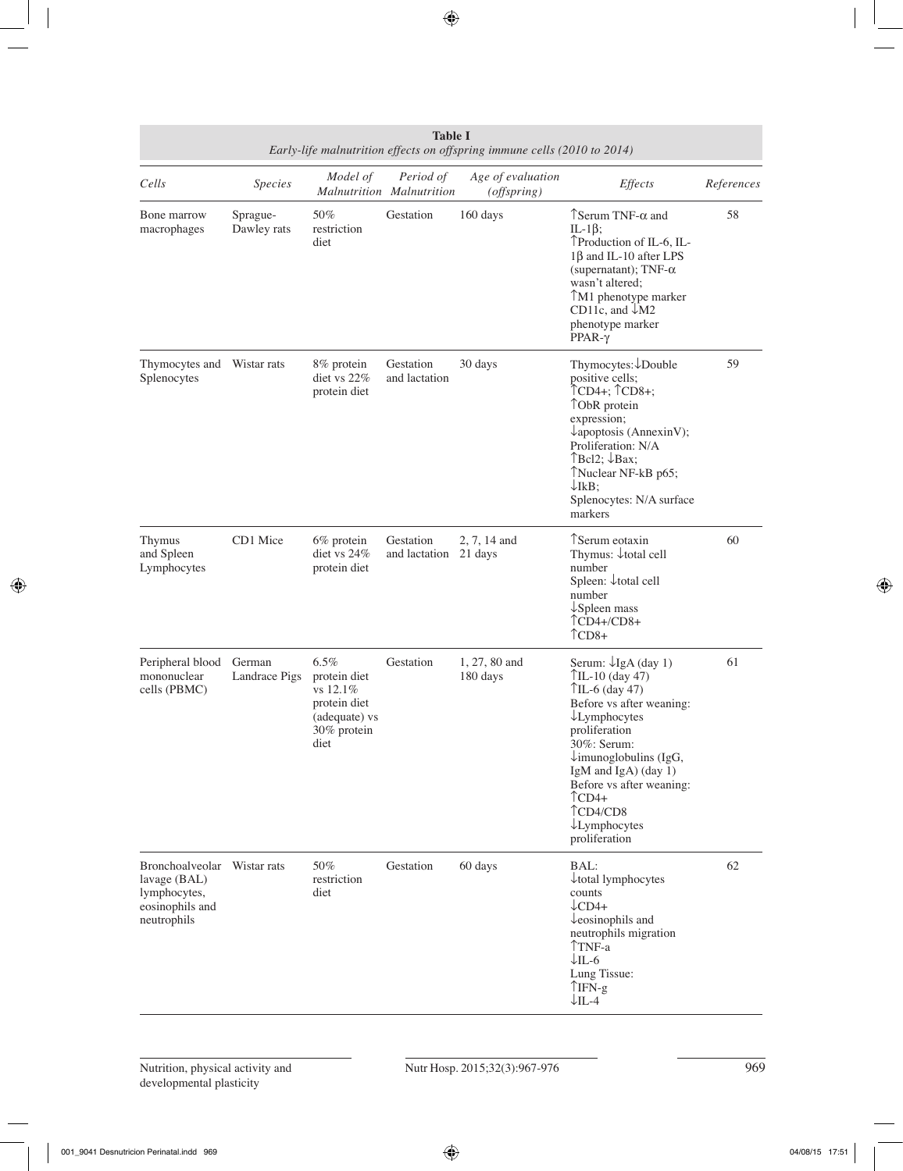| Cells                                                                                         | <b>Species</b>          | Model of                                                                                 | Period of<br>Malnutrition Malnutrition | Age of evaluation<br>(offspring) | Effects                                                                                                                                                                                                                                                                                                                                     | References |
|-----------------------------------------------------------------------------------------------|-------------------------|------------------------------------------------------------------------------------------|----------------------------------------|----------------------------------|---------------------------------------------------------------------------------------------------------------------------------------------------------------------------------------------------------------------------------------------------------------------------------------------------------------------------------------------|------------|
| Bone marrow<br>macrophages                                                                    | Sprague-<br>Dawley rats | 50%<br>restriction<br>diet                                                               | Gestation                              | 160 days                         | $\int \text{Serum TNF-}\alpha$ and<br>IL-1 $\beta$ ;<br>TProduction of IL-6, IL-<br>$1\beta$ and IL-10 after LPS<br>(supernatant); TNF- $\alpha$<br>wasn't altered:<br>TM1 phenotype marker<br>CD11c, and $\sqrt{M2}$<br>phenotype marker<br>$PPAR-\gamma$                                                                                  | 58         |
| Thymocytes and Wistar rats<br>Splenocytes                                                     |                         | 8\% protein<br>diet vs 22%<br>protein diet                                               | Gestation<br>and lactation             | 30 days                          | Thymocytes:↓Double<br>positive cells;<br>$\uparrow$ CD4+; $\uparrow$ CD8+;<br>TObR protein<br>expression;<br>$\downarrow$ apoptosis (AnnexinV);<br>Proliferation: N/A<br>$\uparrow$ Bcl2; $\downarrow$ Bax;<br>TNuclear NF-kB p65;<br>$\downarrow$ IkB;<br>Splenocytes: N/A surface<br>markers                                              | 59         |
| Thymus<br>and Spleen<br>Lymphocytes                                                           | CD1 Mice                | 6% protein<br>diet vs 24%<br>protein diet                                                | Gestation<br>and lactation 21 days     | 2, 7, 14 and                     | TSerum eotaxin<br>Thymus: $\downarrow$ total cell<br>number<br>Spleen: ↓total cell<br>number<br>$\downarrow$ Spleen mass<br>$\textup{CD4}+\textup{CD8+}$<br>$\uparrow$ CD8+                                                                                                                                                                 | 60         |
| Peripheral blood<br>mononuclear<br>cells (PBMC)                                               | German<br>Landrace Pigs | 6.5%<br>protein diet<br>vs 12.1%<br>protein diet<br>(adequate) vs<br>30% protein<br>diet | Gestation                              | 1, 27, 80 and<br>180 days        | Serum: $\bigcup$ IgA (day 1)<br>$TIL-10$ (day 47)<br>$TIL-6$ (day 47)<br>Before vs after weaning:<br>$\downarrow$ Lymphocytes<br>proliferation<br>30%: Serum:<br>$\downarrow$ imunoglobulins (IgG,<br>IgM and IgA) $(\text{day 1})$<br>Before vs after weaning:<br>$\uparrow$ CD4+<br>TCD4/CD8<br>$\downarrow$ Lymphocytes<br>proliferation | 61         |
| Bronchoalveolar Wistar rats<br>lavage (BAL)<br>lymphocytes,<br>eosinophils and<br>neutrophils |                         | 50%<br>restriction<br>diet                                                               | Gestation                              | 60 days                          | BAL:<br>↓total lymphocytes<br>counts<br>$\downarrow$ CD4+<br>$\downarrow$ eosinophils and<br>neutrophils migration<br>TNF-a<br>$\downarrow$ IL-6<br>Lung Tissue:<br>$TIFN-g$<br>$\downarrow$ IL-4                                                                                                                                           | 62         |

**Table I**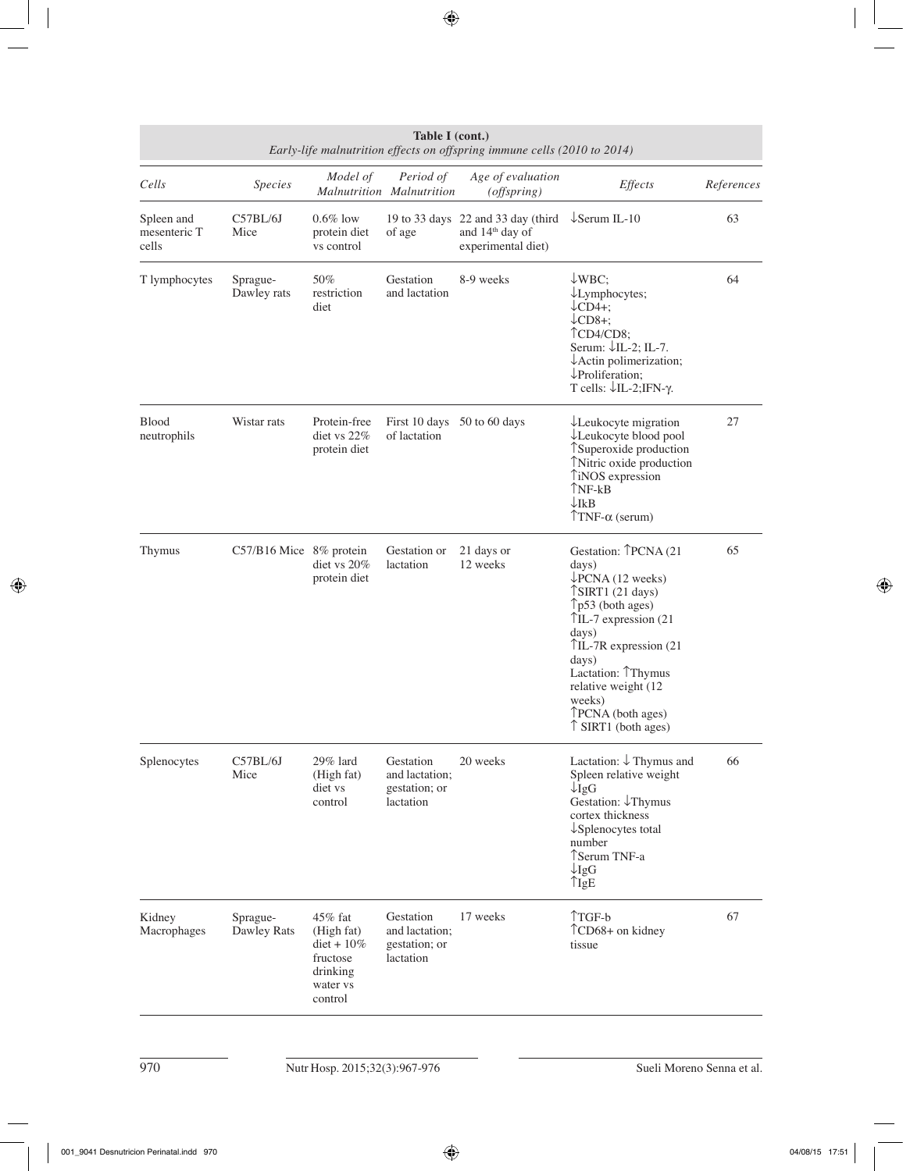| rabie i (cont.)<br>Early-life malnutrition effects on offspring immune cells (2010 to 2014) |                         |                                                                                              |                                                           |                                                                           |                                                                                                                                                                                                                                                                                          |            |
|---------------------------------------------------------------------------------------------|-------------------------|----------------------------------------------------------------------------------------------|-----------------------------------------------------------|---------------------------------------------------------------------------|------------------------------------------------------------------------------------------------------------------------------------------------------------------------------------------------------------------------------------------------------------------------------------------|------------|
| Cells                                                                                       | <b>Species</b>          | Model of                                                                                     | Period of<br>Malnutrition Malnutrition                    | Age of evaluation<br>(offspring)                                          | Effects                                                                                                                                                                                                                                                                                  | References |
| Spleen and<br>mesenteric T<br>cells                                                         | C57BL/6J<br>Mice        | $0.6\%$ low<br>protein diet<br>vs control                                                    | 19 to $33 \text{ days}$<br>of age                         | 22 and 33 day (third<br>and 14 <sup>th</sup> day of<br>experimental diet) | $\downarrow$ Serum IL-10                                                                                                                                                                                                                                                                 | 63         |
| T lymphocytes                                                                               | Sprague-<br>Dawley rats | 50%<br>restriction<br>diet                                                                   | Gestation<br>and lactation                                | 8-9 weeks                                                                 | $\downarrow$ WBC;<br>$\downarrow$ Lymphocytes;<br>$\downarrow$ CD4+;<br>$\downarrow$ CD8+:<br>TCD4/CD8;<br>Serum: ↓IL-2; IL-7.<br>$\downarrow$ Actin polimerization;<br>$\downarrow$ Proliferation;<br>T cells: $\downarrow$ IL-2;IFN- $\gamma$ .                                        | 64         |
| Blood<br>neutrophils                                                                        | Wistar rats             | Protein-free<br>diet vs 22%<br>protein diet                                                  | of lactation                                              | First 10 days 50 to 60 days                                               | ↓Leukocyte migration<br>↓Leukocyte blood pool<br>TSuperoxide production<br>TNitric oxide production<br>TiNOS expression<br>$NF-kB$<br>$\downarrow$ IkB<br>$\text{TrNF-}\alpha$ (serum)                                                                                                   | 27         |
| Thymus                                                                                      | C57/B16 Mice 8% protein | diet vs 20%<br>protein diet                                                                  | Gestation or<br>lactation                                 | 21 days or<br>12 weeks                                                    | Gestation: TPCNA (21<br>days)<br>$\downarrow$ PCNA (12 weeks)<br>TSIRT1 (21 days)<br>$\uparrow$ p53 (both ages)<br>TIL-7 expression (21)<br>days)<br>$TIL-7R$ expression (21)<br>days)<br>Lactation: Thymus<br>relative weight (12<br>weeks)<br>TPCNA (both ages)<br>T SIRT1 (both ages) | 65         |
| Splenocytes                                                                                 | C57BL/6J<br>Mice        | 29% lard<br>(High fat)<br>diet vs<br>control                                                 | Gestation<br>and lactation;<br>gestation; or<br>lactation | 20 weeks                                                                  | Lactation: $\downarrow$ Thymus and<br>Spleen relative weight<br>$\downarrow$ IgG<br>Gestation: ↓Thymus<br>cortex thickness<br>$\downarrow$ Splenocytes total<br>number<br>TSerum TNF-a<br>$\downarrow$ IgG<br>$\gamma$ IgE                                                               | 66         |
| Kidney<br>Macrophages                                                                       | Sprague-<br>Dawley Rats | 45% fat<br>(High fat)<br>$\text{dict} + 10\%$<br>fructose<br>drinking<br>water vs<br>control | Gestation<br>and lactation;<br>gestation; or<br>lactation | 17 weeks                                                                  | TGF-b<br>TCD68+ on kidney<br>tissue                                                                                                                                                                                                                                                      | 67         |

**Table I (cont.)**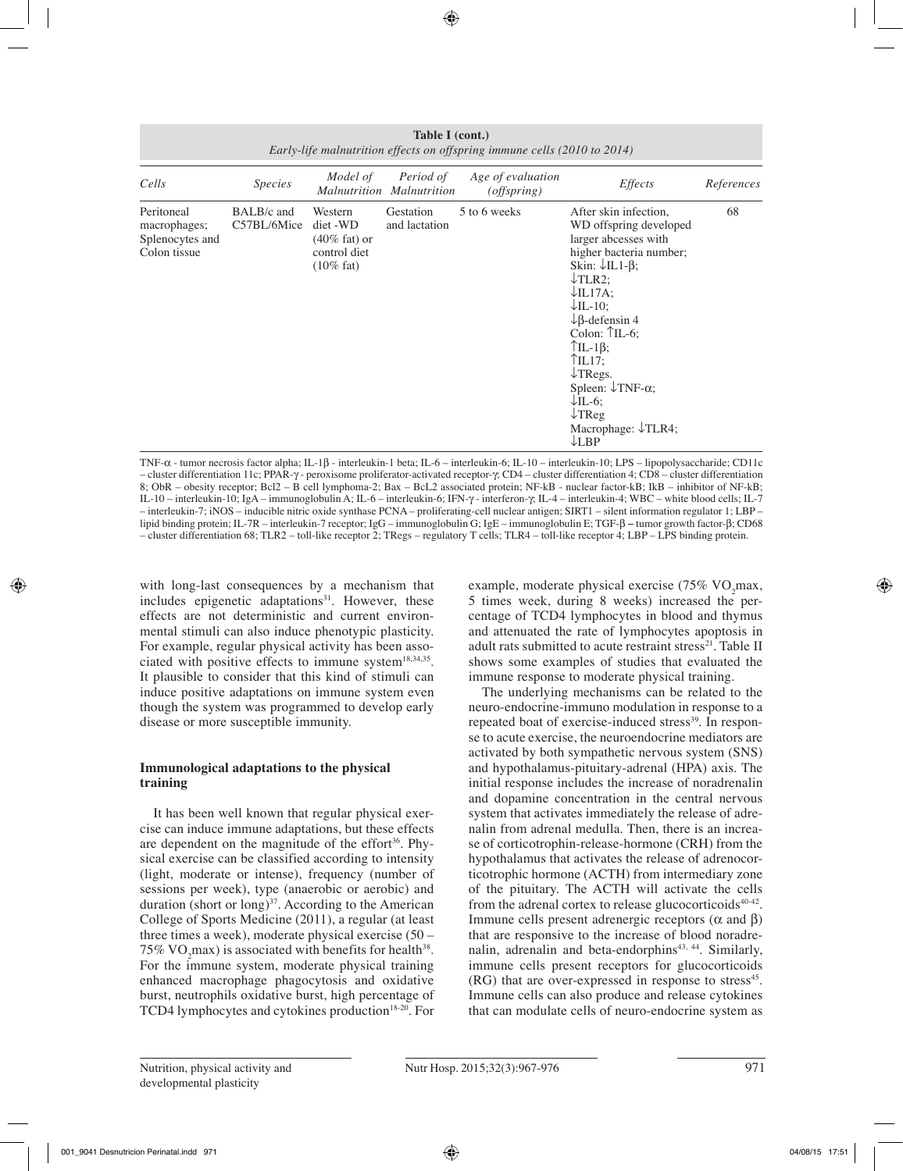**Table I (cont.)** *Early-life malnutrition effects on offspring immune cells (2010 to 2014)*

| Cells                                                         | <b>Species</b>            | Model of                                                                                        | Period of<br>Malnutrition Malnutrition | Age of evaluation<br>(offspring) | Effects                                                                                                                                                                                                                                                                                                                                                                                                                                                                            | References |
|---------------------------------------------------------------|---------------------------|-------------------------------------------------------------------------------------------------|----------------------------------------|----------------------------------|------------------------------------------------------------------------------------------------------------------------------------------------------------------------------------------------------------------------------------------------------------------------------------------------------------------------------------------------------------------------------------------------------------------------------------------------------------------------------------|------------|
| Peritoneal<br>macrophages;<br>Splenocytes and<br>Colon tissue | BALB/c and<br>C57BL/6Mice | Western<br>diet -WD<br>$(40\% \text{ fat}) \text{ or }$<br>control diet<br>$(10\% \text{ fat})$ | Gestation<br>and lactation             | 5 to 6 weeks                     | After skin infection,<br>WD offspring developed<br>larger abcesses with<br>higher bacteria number;<br>Skin: $\downarrow$ IL1- $\beta$ ;<br>$\downarrow$ TLR2;<br>$\downarrow$ IL17A;<br>$\downarrow$ IL-10;<br>$\downarrow$ $\beta$ -defensin 4<br>Colon: $\hat{L}$ IL-6;<br>$\uparrow$ IL-1 $\upbeta$ ;<br>TIL17;<br>$\downarrow$ TRegs.<br>Spleen: $\downarrow$ TNF- $\alpha$ ;<br>$\downarrow$ IL-6;<br>$\downarrow$ TReg<br>Macrophage: $\downarrow$ TLR4;<br>$\downarrow$ LBP | 68         |

TNF-α - tumor necrosis factor alpha; IL-1β - interleukin-1 beta; IL-6 – interleukin-6; IL-10 – interleukin-10; LPS – lipopolysaccharide; CD11c – cluster differentiation 11c; PPAR-γ - peroxisome proliferator-activated receptor-γ; CD4 – cluster differentiation 4; CD8 – cluster differentiation 8; ObR – obesity receptor; Bcl2 – B cell lymphoma-2; Bax – BcL2 associated protein; NF-kΒ - nuclear factor-kΒ; IkB – inhibitor of NF-kΒ; IL-10 – interleukin-10; IgA – immunoglobulin A; IL-6 – interleukin-6; IFN-γ - interferon-γ; IL-4 – interleukin-4; WBC – white blood cells; IL-7 – interleukin-7; iNOS – inducible nitric oxide synthase PCNA – proliferating-cell nuclear antigen; SIRT1 – silent information regulator 1; LBP – lipid binding protein; IL-7R – interleukin-7 receptor; IgG – immunoglobulin G; IgE – immunoglobulin E; TGF-β − tumor growth factor-β; CD68 – cluster differentiation 68; TLR2 – toll-like receptor 2; TRegs – regulatory T cells; TLR4 – toll-like receptor 4; LBP – LPS binding protein.

with long-last consequences by a mechanism that includes epigenetic adaptations $31$ . However, these effects are not deterministic and current environmental stimuli can also induce phenotypic plasticity. For example, regular physical activity has been associated with positive effects to immune system $18,34,35$ . It plausible to consider that this kind of stimuli can induce positive adaptations on immune system even though the system was programmed to develop early disease or more susceptible immunity.

# **Immunological adaptations to the physical training**

It has been well known that regular physical exercise can induce immune adaptations, but these effects are dependent on the magnitude of the effort<sup>36</sup>. Physical exercise can be classified according to intensity (light, moderate or intense), frequency (number of sessions per week), type (anaerobic or aerobic) and duration (short or long) $37$ . According to the American College of Sports Medicine (2011), a regular (at least three times a week), moderate physical exercise (50 – 75%  $VO<sub>2</sub> max$ ) is associated with benefits for health<sup>38</sup>. For the immune system, moderate physical training enhanced macrophage phagocytosis and oxidative burst, neutrophils oxidative burst, high percentage of TCD4 lymphocytes and cytokines production $18-20$ . For

example, moderate physical exercise  $(75\% \text{ VO}_{2} \text{max})$ , 5 times week, during 8 weeks) increased the percentage of TCD4 lymphocytes in blood and thymus and attenuated the rate of lymphocytes apoptosis in adult rats submitted to acute restraint stress<sup>21</sup>. Table II shows some examples of studies that evaluated the immune response to moderate physical training.

The underlying mechanisms can be related to the neuro-endocrine-immuno modulation in response to a repeated boat of exercise-induced stress<sup>39</sup>. In response to acute exercise, the neuroendocrine mediators are activated by both sympathetic nervous system (SNS) and hypothalamus-pituitary-adrenal (HPA) axis. The initial response includes the increase of noradrenalin and dopamine concentration in the central nervous system that activates immediately the release of adrenalin from adrenal medulla. Then, there is an increase of corticotrophin-release-hormone (CRH) from the hypothalamus that activates the release of adrenocorticotrophic hormone (ACTH) from intermediary zone of the pituitary. The ACTH will activate the cells from the adrenal cortex to release glucocorticoids $40-42$ . Immune cells present adrenergic receptors ( $\alpha$  and  $\beta$ ) that are responsive to the increase of blood noradrenalin, adrenalin and beta-endorphins<sup>43, 44</sup>. Similarly, immune cells present receptors for glucocorticoids  $(RG)$  that are over-expressed in response to stress<sup>45</sup>. Immune cells can also produce and release cytokines that can modulate cells of neuro-endocrine system as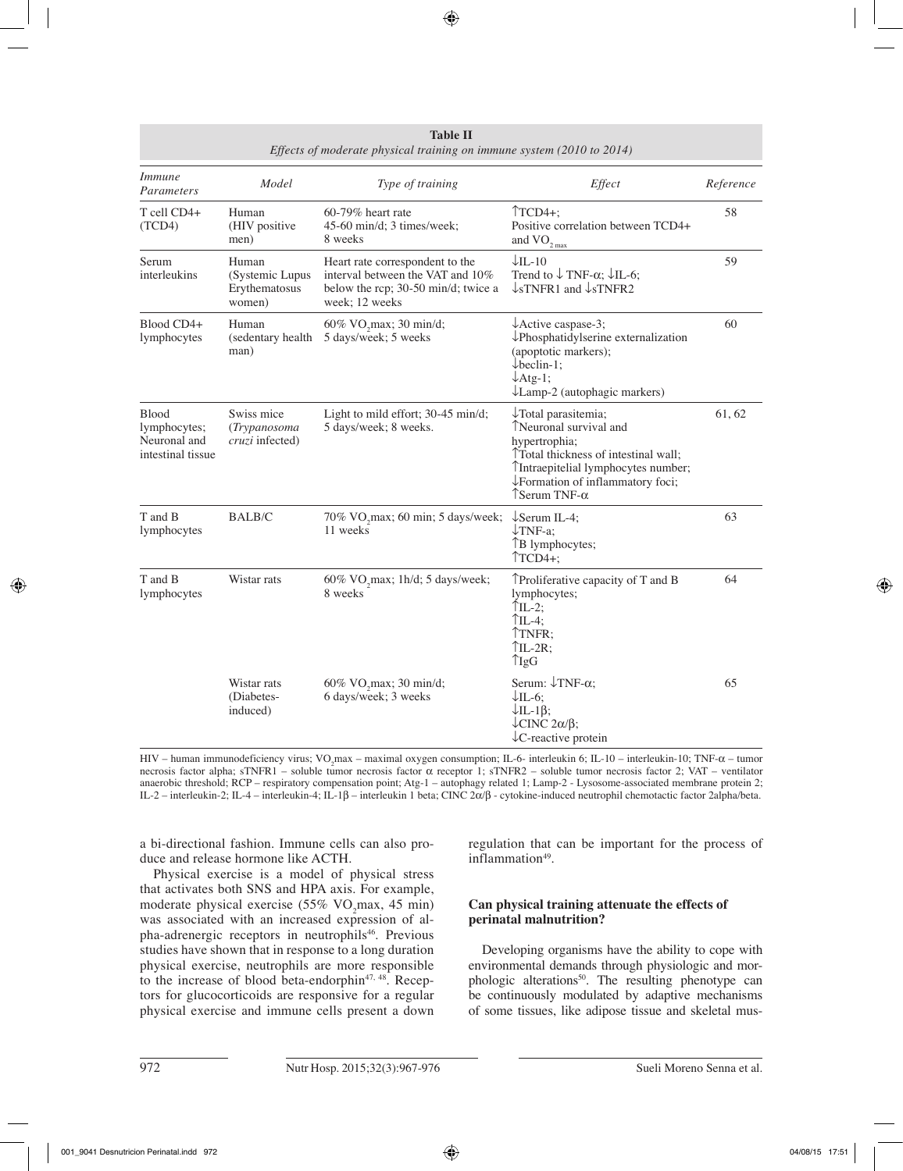| Effects of moderate physical training on immune system (2010 to 2014) |                                                     |                                                                                                                                                                                                                                                               |                                                                                                                                                                                                                                 |           |  |  |  |
|-----------------------------------------------------------------------|-----------------------------------------------------|---------------------------------------------------------------------------------------------------------------------------------------------------------------------------------------------------------------------------------------------------------------|---------------------------------------------------------------------------------------------------------------------------------------------------------------------------------------------------------------------------------|-----------|--|--|--|
| <i>Immune</i><br>Parameters                                           | Model<br>Type of training                           |                                                                                                                                                                                                                                                               | Effect                                                                                                                                                                                                                          | Reference |  |  |  |
| T cell CD4+<br>(TCD4)                                                 | Human<br>(HIV positive<br>men)                      | 60-79% heart rate<br>45-60 min/d; 3 times/week;<br>8 weeks                                                                                                                                                                                                    | $\uparrow$ TCD4+;<br>Positive correlation between TCD4+<br>and $\rm VO_{2\ max}$                                                                                                                                                | 58        |  |  |  |
| Serum<br>interleukins                                                 | Human<br>(Systemic Lupus<br>Erythematosus<br>women) | $\downarrow$ IL-10<br>Heart rate correspondent to the<br>Trend to $\downarrow$ TNF- $\alpha$ ; $\downarrow$ IL-6;<br>interval between the VAT and 10%<br>$\downarrow$ sTNFR1 and $\downarrow$ sTNFR2<br>below the rcp; 30-50 min/d; twice a<br>week; 12 weeks |                                                                                                                                                                                                                                 | 59        |  |  |  |
| Blood CD4+<br>lymphocytes                                             | Human<br>(sedentary health<br>man)                  | 60% VO <sub>2</sub> max; 30 min/d;<br>5 days/week; 5 weeks                                                                                                                                                                                                    | $\downarrow$ Active caspase-3;<br>$\downarrow$ Phosphatidylserine externalization<br>(apoptotic markers);<br>$\downarrow$ beclin-1;<br>$\downarrow$ Atg-1;<br>Lamp-2 (autophagic markers)                                       | 60        |  |  |  |
| <b>Blood</b><br>lymphocytes;<br>Neuronal and<br>intestinal tissue     | Swiss mice<br>(Trypanosoma<br>cruzi infected)       | Light to mild effort; 30-45 min/d;<br>5 days/week; 8 weeks.                                                                                                                                                                                                   | $\downarrow$ Total parasitemia;<br>TNeuronal survival and<br>hypertrophia;<br>Total thickness of intestinal wall;<br>TIntraepitelial lymphocytes number;<br>↓ Formation of inflammatory foci;<br>$\int \text{Serum TNF-}\alpha$ | 61, 62    |  |  |  |
| T and B<br>lymphocytes                                                | <b>BALB/C</b>                                       | 70% VO <sub>2</sub> max; 60 min; 5 days/week;<br>11 weeks                                                                                                                                                                                                     | $\downarrow$ Serum IL-4;<br>$\downarrow$ TNF-a;<br>TB lymphocytes;<br>TTCD4+;                                                                                                                                                   |           |  |  |  |
| T and B<br>lymphocytes                                                | Wistar rats                                         | 60% VO <sub>2</sub> max; 1h/d; 5 days/week;<br>8 weeks                                                                                                                                                                                                        | T Proliferative capacity of T and B<br>lymphocytes;<br>$\uparrow$ IL-2;<br>$\uparrow$ IL-4;<br>TNFR;<br>$TIL-2R$ ;<br>$\gamma_{\rm IgG}$                                                                                        | 64        |  |  |  |
|                                                                       | Wistar rats<br>(Diabetes-<br>induced)               | 60% VO <sub>2</sub> max; 30 min/d;<br>6 days/week; 3 weeks                                                                                                                                                                                                    | Serum: $\downarrow$ TNF- $\alpha$ ;<br>$\downarrow$ IL-6;<br>$\downarrow$ IL-1 $\beta$ ;<br>$\downarrow$ CINC 2 $\alpha/\beta$ ;<br>$\downarrow$ C-reactive protein                                                             | 65        |  |  |  |

**Table II**

 $HIV$  – human immunodeficiency virus;  $VO<sub>2</sub>max$  – maximal oxygen consumption; IL-6- interleukin 6; IL-10 – interleukin-10; TNF- $\alpha$  – tumor necrosis factor alpha; sTNFR1 – soluble tumor necrosis factor α receptor 1; sTNFR2 – soluble tumor necrosis factor 2; VAT – ventilator anaerobic threshold; RCP – respiratory compensation point; Atg-1 – autophagy related 1; Lamp-2 - Lysosome-associated membrane protein 2; IL-2 – interleukin-2; IL-4 – interleukin-4; IL-1β – interleukin 1 beta; CINC 2α/β - cytokine-induced neutrophil chemotactic factor 2alpha/beta.

a bi-directional fashion. Immune cells can also produce and release hormone like ACTH.

Physical exercise is a model of physical stress that activates both SNS and HPA axis. For example, moderate physical exercise  $(55\% \text{ VO}_{2} \text{max}, 45 \text{ min})$ was associated with an increased expression of alpha-adrenergic receptors in neutrophils<sup>46</sup>. Previous studies have shown that in response to a long duration physical exercise, neutrophils are more responsible to the increase of blood beta-endorphin<sup>47, 48</sup>. Receptors for glucocorticoids are responsive for a regular physical exercise and immune cells present a down

regulation that can be important for the process of inflammation<sup>49</sup>.

# **Can physical training attenuate the effects of perinatal malnutrition?**

Developing organisms have the ability to cope with environmental demands through physiologic and morphologic alterations<sup>50</sup>. The resulting phenotype can be continuously modulated by adaptive mechanisms of some tissues, like adipose tissue and skeletal mus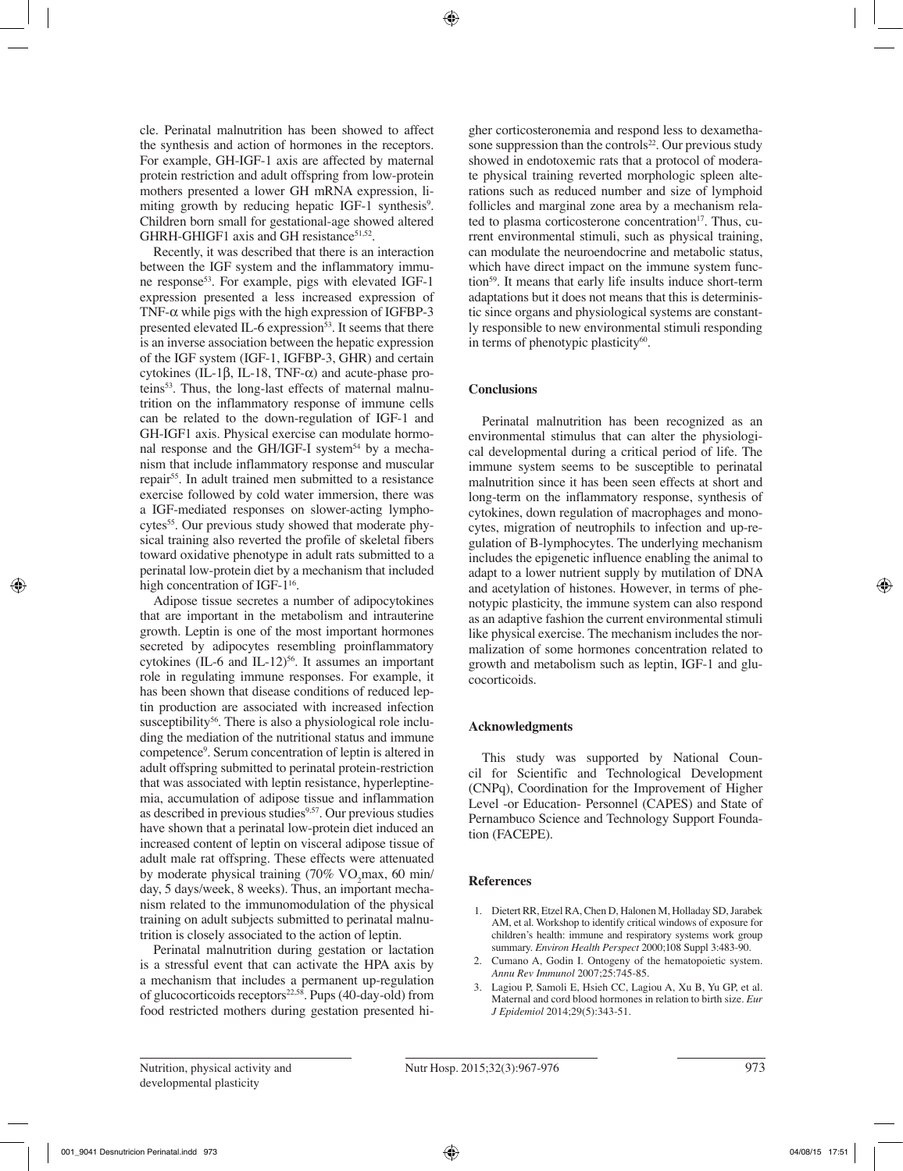cle. Perinatal malnutrition has been showed to affect the synthesis and action of hormones in the receptors. For example, GH-IGF-1 axis are affected by maternal protein restriction and adult offspring from low-protein mothers presented a lower GH mRNA expression, limiting growth by reducing hepatic IGF-1 synthesis<sup>9</sup>. Children born small for gestational-age showed altered GHRH-GHIGF1 axis and GH resistance<sup>51,52</sup>.

Recently, it was described that there is an interaction between the IGF system and the inflammatory immune response<sup>53</sup>. For example, pigs with elevated IGF-1 expression presented a less increased expression of TNF- $\alpha$  while pigs with the high expression of IGFBP-3 presented elevated IL-6 expression<sup>53</sup>. It seems that there is an inverse association between the hepatic expression of the IGF system (IGF-1, IGFBP-3, GHR) and certain cytokines (IL-1β, IL-18, TNF-α) and acute-phase proteins53. Thus, the long-last effects of maternal malnutrition on the inflammatory response of immune cells can be related to the down-regulation of IGF-1 and GH-IGF1 axis. Physical exercise can modulate hormonal response and the GH/IGF-I system<sup>54</sup> by a mechanism that include inflammatory response and muscular repair55. In adult trained men submitted to a resistance exercise followed by cold water immersion, there was a IGF-mediated responses on slower-acting lymphocytes<sup>55</sup>. Our previous study showed that moderate physical training also reverted the profile of skeletal fibers toward oxidative phenotype in adult rats submitted to a perinatal low-protein diet by a mechanism that included high concentration of IGF-1<sup>16</sup>.

Adipose tissue secretes a number of adipocytokines that are important in the metabolism and intrauterine growth. Leptin is one of the most important hormones secreted by adipocytes resembling proinflammatory cytokines (IL-6 and IL-12)<sup>56</sup>. It assumes an important role in regulating immune responses. For example, it has been shown that disease conditions of reduced leptin production are associated with increased infection susceptibility<sup>56</sup>. There is also a physiological role including the mediation of the nutritional status and immune competence9 . Serum concentration of leptin is altered in adult offspring submitted to perinatal protein-restriction that was associated with leptin resistance, hyperleptinemia, accumulation of adipose tissue and inflammation as described in previous studies $9,57$ . Our previous studies have shown that a perinatal low-protein diet induced an increased content of leptin on visceral adipose tissue of adult male rat offspring. These effects were attenuated by moderate physical training  $(70\% \text{ VO}_{2} \text{max}, 60 \text{ min/}$ day, 5 days/week, 8 weeks). Thus, an important mechanism related to the immunomodulation of the physical training on adult subjects submitted to perinatal malnutrition is closely associated to the action of leptin.

Perinatal malnutrition during gestation or lactation is a stressful event that can activate the HPA axis by a mechanism that includes a permanent up-regulation of glucocorticoids receptors<sup>22,58</sup>. Pups (40-day-old) from food restricted mothers during gestation presented higher corticosteronemia and respond less to dexamethasone suppression than the controls<sup>22</sup>. Our previous study showed in endotoxemic rats that a protocol of moderate physical training reverted morphologic spleen alterations such as reduced number and size of lymphoid follicles and marginal zone area by a mechanism related to plasma corticosterone concentration $17$ . Thus, current environmental stimuli, such as physical training, can modulate the neuroendocrine and metabolic status, which have direct impact on the immune system function<sup>59</sup>. It means that early life insults induce short-term adaptations but it does not means that this is deterministic since organs and physiological systems are constantly responsible to new environmental stimuli responding in terms of phenotypic plasticity $60$ .

# **Conclusions**

Perinatal malnutrition has been recognized as an environmental stimulus that can alter the physiological developmental during a critical period of life. The immune system seems to be susceptible to perinatal malnutrition since it has been seen effects at short and long-term on the inflammatory response, synthesis of cytokines, down regulation of macrophages and monocytes, migration of neutrophils to infection and up-regulation of B-lymphocytes. The underlying mechanism includes the epigenetic influence enabling the animal to adapt to a lower nutrient supply by mutilation of DNA and acetylation of histones. However, in terms of phenotypic plasticity, the immune system can also respond as an adaptive fashion the current environmental stimuli like physical exercise. The mechanism includes the normalization of some hormones concentration related to growth and metabolism such as leptin, IGF-1 and glucocorticoids.

## **Acknowledgments**

This study was supported by National Council for Scientific and Technological Development (CNPq), Coordination for the Improvement of Higher Level -or Education- Personnel (CAPES) and State of Pernambuco Science and Technology Support Foundation (FACEPE).

## **References**

- 1. Dietert RR, Etzel RA, Chen D, Halonen M, Holladay SD, Jarabek AM, et al. Workshop to identify critical windows of exposure for children's health: immune and respiratory systems work group summary. *Environ Health Perspect* 2000;108 Suppl 3:483-90.
- 2. Cumano A, Godin I. Ontogeny of the hematopoietic system. *Annu Rev Immunol* 2007;25:745-85.
- 3. Lagiou P, Samoli E, Hsieh CC, Lagiou A, Xu B, Yu GP, et al. Maternal and cord blood hormones in relation to birth size. *Eur J Epidemiol* 2014;29(5):343-51.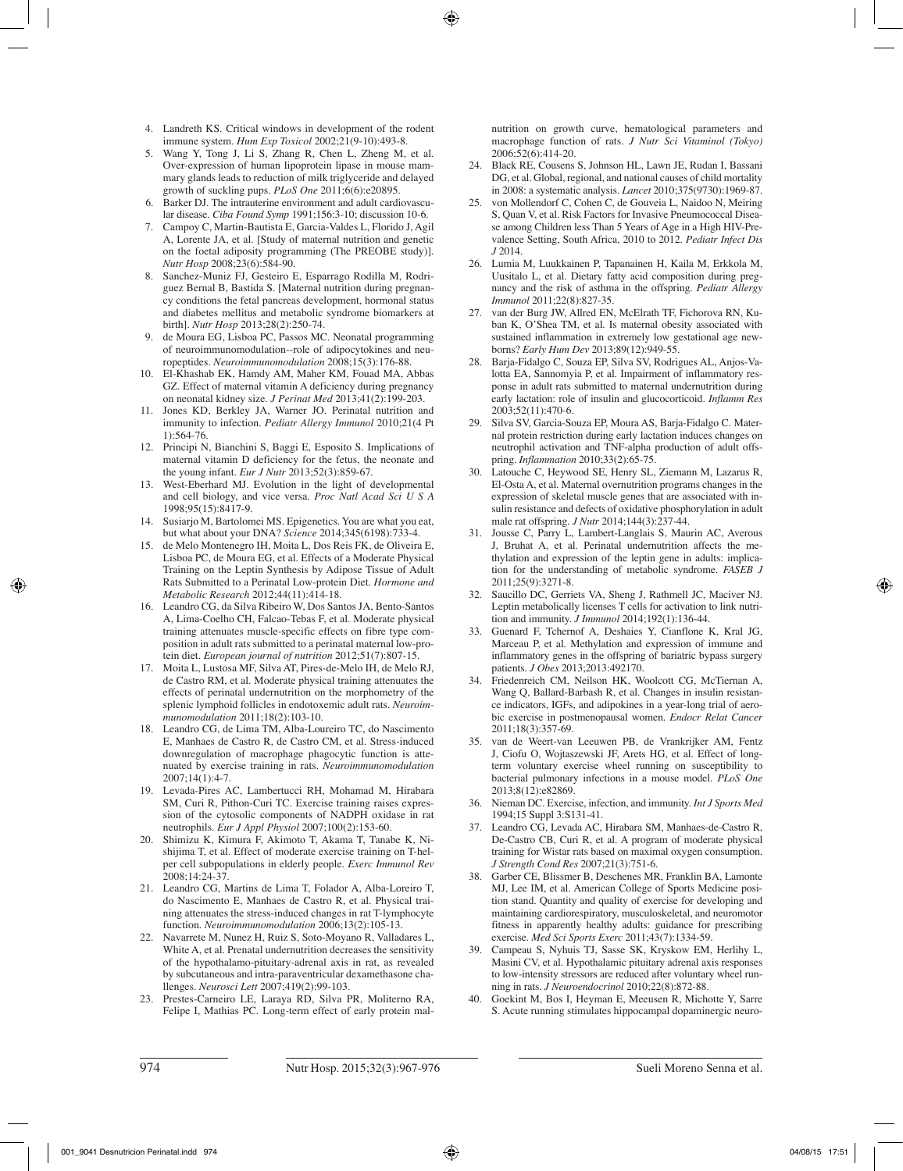- 4. Landreth KS. Critical windows in development of the rodent immune system. *Hum Exp Toxicol* 2002;21(9-10):493-8.
- 5. Wang Y, Tong J, Li S, Zhang R, Chen L, Zheng M, et al. Over-expression of human lipoprotein lipase in mouse mammary glands leads to reduction of milk triglyceride and delayed growth of suckling pups. *PLoS One* 2011;6(6):e20895.
- 6. Barker DJ. The intrauterine environment and adult cardiovascular disease. *Ciba Found Symp* 1991;156:3-10; discussion 10-6.
- 7. Campoy C, Martin-Bautista E, Garcia-Valdes L, Florido J, Agil A, Lorente JA, et al. [Study of maternal nutrition and genetic on the foetal adiposity programming (The PREOBE study)]. *Nutr Hosp* 2008;23(6):584-90.
- 8. Sanchez-Muniz FJ, Gesteiro E, Esparrago Rodilla M, Rodriguez Bernal B, Bastida S. [Maternal nutrition during pregnancy conditions the fetal pancreas development, hormonal status and diabetes mellitus and metabolic syndrome biomarkers at birth]. *Nutr Hosp* 2013;28(2):250-74.
- 9. de Moura EG, Lisboa PC, Passos MC. Neonatal programming of neuroimmunomodulation--role of adipocytokines and neuropeptides. *Neuroimmunomodulation* 2008;15(3):176-88.
- 10. El-Khashab EK, Hamdy AM, Maher KM, Fouad MA, Abbas GZ. Effect of maternal vitamin A deficiency during pregnancy on neonatal kidney size. *J Perinat Med* 2013;41(2):199-203.
- 11. Jones KD, Berkley JA, Warner JO. Perinatal nutrition and immunity to infection. *Pediatr Allergy Immunol* 2010;21(4 Pt 1):564-76.
- 12. Principi N, Bianchini S, Baggi E, Esposito S. Implications of maternal vitamin D deficiency for the fetus, the neonate and the young infant. *Eur J Nutr* 2013;52(3):859-67.
- 13. West-Eberhard MJ. Evolution in the light of developmental and cell biology, and vice versa. *Proc Natl Acad Sci U S A*  1998;95(15):8417-9.
- 14. Susiarjo M, Bartolomei MS. Epigenetics. You are what you eat, but what about your DNA? *Science* 2014;345(6198):733-4.
- 15. de Melo Montenegro IH, Moita L, Dos Reis FK, de Oliveira E, Lisboa PC, de Moura EG, et al. Effects of a Moderate Physical Training on the Leptin Synthesis by Adipose Tissue of Adult Rats Submitted to a Perinatal Low-protein Diet. *Hormone and Metabolic Research* 2012;44(11):414-18.
- 16. Leandro CG, da Silva Ribeiro W, Dos Santos JA, Bento-Santos A, Lima-Coelho CH, Falcao-Tebas F, et al. Moderate physical training attenuates muscle-specific effects on fibre type composition in adult rats submitted to a perinatal maternal low-protein diet. *European journal of nutrition* 2012;51(7):807-15.
- 17. Moita L, Lustosa MF, Silva AT, Pires-de-Melo IH, de Melo RJ, de Castro RM, et al. Moderate physical training attenuates the effects of perinatal undernutrition on the morphometry of the splenic lymphoid follicles in endotoxemic adult rats. *Neuroimmunomodulation* 2011;18(2):103-10.
- 18. Leandro CG, de Lima TM, Alba-Loureiro TC, do Nascimento E, Manhaes de Castro R, de Castro CM, et al. Stress-induced downregulation of macrophage phagocytic function is attenuated by exercise training in rats. *Neuroimmunomodulation*   $2007:14(1):4-7$
- 19. Levada-Pires AC, Lambertucci RH, Mohamad M, Hirabara SM, Curi R, Pithon-Curi TC. Exercise training raises expression of the cytosolic components of NADPH oxidase in rat neutrophils. *Eur J Appl Physiol* 2007;100(2):153-60.
- 20. Shimizu K, Kimura F, Akimoto T, Akama T, Tanabe K, Nishijima T, et al. Effect of moderate exercise training on T-helper cell subpopulations in elderly people. *Exerc Immunol Rev*  2008;14:24-37.
- 21. Leandro CG, Martins de Lima T, Folador A, Alba-Loreiro T, do Nascimento E, Manhaes de Castro R, et al. Physical training attenuates the stress-induced changes in rat T-lymphocyte function. *Neuroimmunomodulation* 2006;13(2):105-13.
- 22. Navarrete M, Nunez H, Ruiz S, Soto-Moyano R, Valladares L, White A, et al. Prenatal undernutrition decreases the sensitivity of the hypothalamo-pituitary-adrenal axis in rat, as revealed by subcutaneous and intra-paraventricular dexamethasone challenges. *Neurosci Lett* 2007;419(2):99-103.
- 23. Prestes-Carneiro LE, Laraya RD, Silva PR, Moliterno RA, Felipe I, Mathias PC. Long-term effect of early protein mal-

nutrition on growth curve, hematological parameters and macrophage function of rats. *J Nutr Sci Vitaminol (Tokyo)*  2006;52(6):414-20.

- 24. Black RE, Cousens S, Johnson HL, Lawn JE, Rudan I, Bassani DG, et al. Global, regional, and national causes of child mortality in 2008: a systematic analysis. *Lancet* 2010;375(9730):1969-87.
- von Mollendorf C, Cohen C, de Gouveia L, Naidoo N, Meiring S, Quan V, et al. Risk Factors for Invasive Pneumococcal Disease among Children less Than 5 Years of Age in a High HIV-Prevalence Setting, South Africa, 2010 to 2012. *Pediatr Infect Dis J* 2014.
- 26. Lumia M, Luukkainen P, Tapanainen H, Kaila M, Erkkola M, Uusitalo L, et al. Dietary fatty acid composition during pregnancy and the risk of asthma in the offspring. *Pediatr Allergy Immunol* 2011;22(8):827-35.
- 27. van der Burg JW, Allred EN, McElrath TF, Fichorova RN, Kuban K, O'Shea TM, et al. Is maternal obesity associated with sustained inflammation in extremely low gestational age newborns? *Early Hum Dev* 2013;89(12):949-55.
- 28. Barja-Fidalgo C, Souza EP, Silva SV, Rodrigues AL, Anjos-Valotta EA, Sannomyia P, et al. Impairment of inflammatory response in adult rats submitted to maternal undernutrition during early lactation: role of insulin and glucocorticoid. *Inflamm Res*  2003;52(11):470-6.
- 29. Silva SV, Garcia-Souza EP, Moura AS, Barja-Fidalgo C. Maternal protein restriction during early lactation induces changes on neutrophil activation and TNF-alpha production of adult offspring. *Inflammation* 2010;33(2):65-75.
- Latouche C, Heywood SE, Henry SL, Ziemann M, Lazarus R, El-Osta A, et al. Maternal overnutrition programs changes in the expression of skeletal muscle genes that are associated with insulin resistance and defects of oxidative phosphorylation in adult male rat offspring. *J Nutr* 2014;144(3):237-44.
- 31. Jousse C, Parry L, Lambert-Langlais S, Maurin AC, Averous J, Bruhat A, et al. Perinatal undernutrition affects the methylation and expression of the leptin gene in adults: implication for the understanding of metabolic syndrome. *FASEB J*  2011;25(9):3271-8.
- 32. Saucillo DC, Gerriets VA, Sheng J, Rathmell JC, Maciver NJ. Leptin metabolically licenses T cells for activation to link nutrition and immunity. *J Immunol* 2014;192(1):136-44.
- 33. Guenard F, Tchernof A, Deshaies Y, Cianflone K, Kral JG, Marceau P, et al. Methylation and expression of immune and inflammatory genes in the offspring of bariatric bypass surgery patients. *J Obes* 2013;2013:492170.
- 34. Friedenreich CM, Neilson HK, Woolcott CG, McTiernan A, Wang Q, Ballard-Barbash R, et al. Changes in insulin resistance indicators, IGFs, and adipokines in a year-long trial of aerobic exercise in postmenopausal women. *Endocr Relat Cancer*  2011;18(3):357-69.
- 35. van de Weert-van Leeuwen PB, de Vrankrijker AM, Fentz J, Ciofu O, Wojtaszewski JF, Arets HG, et al. Effect of longterm voluntary exercise wheel running on susceptibility to bacterial pulmonary infections in a mouse model. *PLoS One*  2013;8(12):e82869.
- 36. Nieman DC. Exercise, infection, and immunity. *Int J Sports Med*  1994;15 Suppl 3:S131-41.
- 37. Leandro CG, Levada AC, Hirabara SM, Manhaes-de-Castro R, De-Castro CB, Curi R, et al. A program of moderate physical training for Wistar rats based on maximal oxygen consumption. *J Strength Cond Res* 2007;21(3):751-6.
- 38. Garber CE, Blissmer B, Deschenes MR, Franklin BA, Lamonte MJ, Lee IM, et al. American College of Sports Medicine position stand. Quantity and quality of exercise for developing and maintaining cardiorespiratory, musculoskeletal, and neuromotor fitness in apparently healthy adults: guidance for prescribing exercise. *Med Sci Sports Exerc* 2011;43(7):1334-59.
- 39. Campeau S, Nyhuis TJ, Sasse SK, Kryskow EM, Herlihy L, Masini CV, et al. Hypothalamic pituitary adrenal axis responses to low-intensity stressors are reduced after voluntary wheel running in rats. *J Neuroendocrinol* 2010;22(8):872-88.
- 40. Goekint M, Bos I, Heyman E, Meeusen R, Michotte Y, Sarre S. Acute running stimulates hippocampal dopaminergic neuro-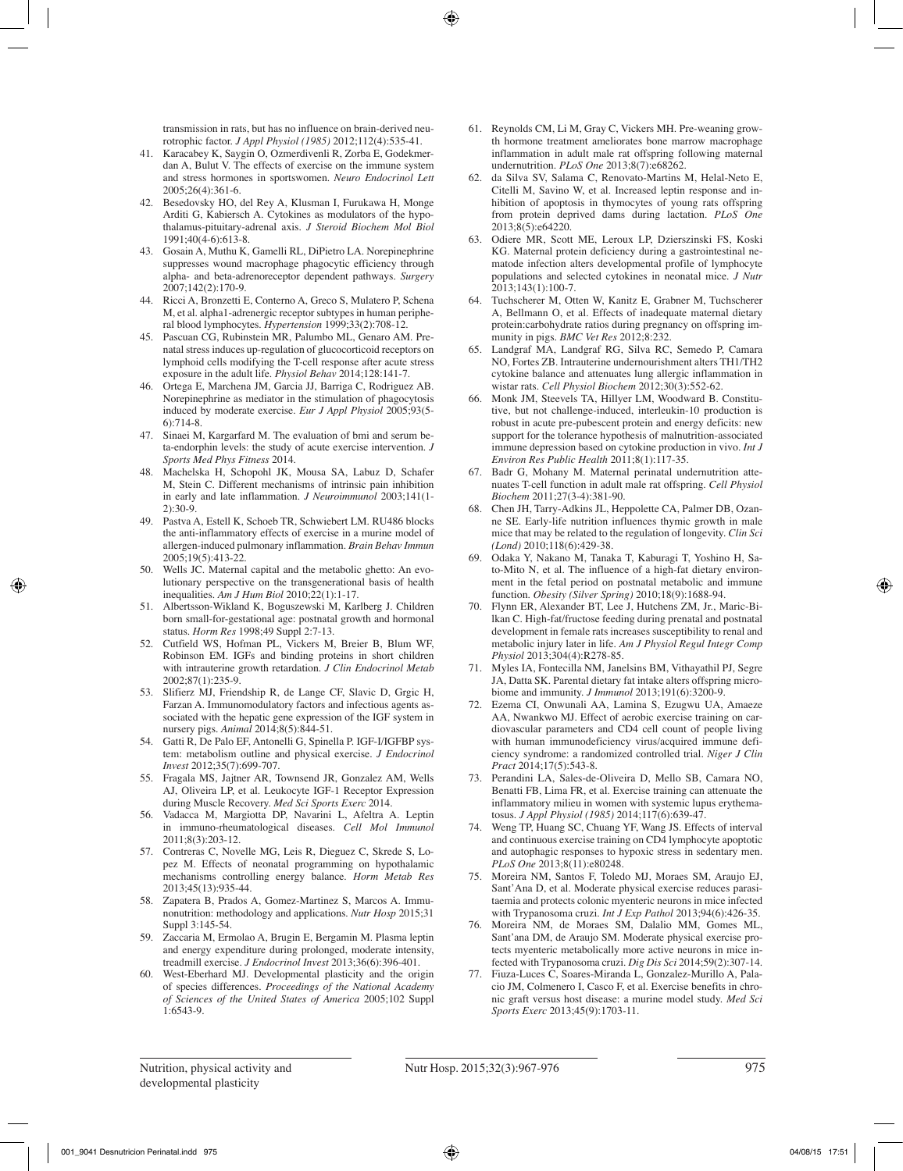transmission in rats, but has no influence on brain-derived neurotrophic factor. *J Appl Physiol (1985)* 2012;112(4):535-41.

- 41. Karacabey K, Saygin O, Ozmerdivenli R, Zorba E, Godekmerdan A, Bulut V. The effects of exercise on the immune system and stress hormones in sportswomen. *Neuro Endocrinol Lett*  2005;26(4):361-6.
- 42. Besedovsky HO, del Rey A, Klusman I, Furukawa H, Monge Arditi G, Kabiersch A. Cytokines as modulators of the hypothalamus-pituitary-adrenal axis. *J Steroid Biochem Mol Biol*  1991;40(4-6):613-8.
- 43. Gosain A, Muthu K, Gamelli RL, DiPietro LA. Norepinephrine suppresses wound macrophage phagocytic efficiency through alpha- and beta-adrenoreceptor dependent pathways. *Surgery*  2007;142(2):170-9.
- 44. Ricci A, Bronzetti E, Conterno A, Greco S, Mulatero P, Schena M, et al. alpha1-adrenergic receptor subtypes in human peripheral blood lymphocytes. *Hypertension* 1999;33(2):708-12.
- 45. Pascuan CG, Rubinstein MR, Palumbo ML, Genaro AM. Prenatal stress induces up-regulation of glucocorticoid receptors on lymphoid cells modifying the T-cell response after acute stress exposure in the adult life. *Physiol Behav* 2014;128:141-7.
- 46. Ortega E, Marchena JM, Garcia JJ, Barriga C, Rodriguez AB. Norepinephrine as mediator in the stimulation of phagocytosis induced by moderate exercise. *Eur J Appl Physiol* 2005;93(5- 6):714-8.
- 47. Sinaei M, Kargarfard M. The evaluation of bmi and serum beta-endorphin levels: the study of acute exercise intervention. *J Sports Med Phys Fitness* 2014.
- 48. Machelska H, Schopohl JK, Mousa SA, Labuz D, Schafer M, Stein C. Different mechanisms of intrinsic pain inhibition in early and late inflammation. *J Neuroimmunol* 2003;141(1- 2):30-9.
- 49. Pastva A, Estell K, Schoeb TR, Schwiebert LM. RU486 blocks the anti-inflammatory effects of exercise in a murine model of allergen-induced pulmonary inflammation. *Brain Behav Immun*  2005;19(5):413-22.
- 50. Wells JC. Maternal capital and the metabolic ghetto: An evolutionary perspective on the transgenerational basis of health inequalities. *Am J Hum Biol* 2010;22(1):1-17.
- 51. Albertsson-Wikland K, Boguszewski M, Karlberg J. Children born small-for-gestational age: postnatal growth and hormonal status. *Horm Res* 1998;49 Suppl 2:7-13.
- 52. Cutfield WS, Hofman PL, Vickers M, Breier B, Blum WF, Robinson EM. IGFs and binding proteins in short children with intrauterine growth retardation. *J Clin Endocrinol Metab*  2002;87(1):235-9.
- 53. Slifierz MJ, Friendship R, de Lange CF, Slavic D, Grgic H, Farzan A. Immunomodulatory factors and infectious agents associated with the hepatic gene expression of the IGF system in nursery pigs. *Animal* 2014;8(5):844-51.
- 54. Gatti R, De Palo EF, Antonelli G, Spinella P. IGF-I/IGFBP system: metabolism outline and physical exercise. *J Endocrinol Invest* 2012;35(7):699-707.
- 55. Fragala MS, Jajtner AR, Townsend JR, Gonzalez AM, Wells AJ, Oliveira LP, et al. Leukocyte IGF-1 Receptor Expression during Muscle Recovery. *Med Sci Sports Exerc* 2014.
- 56. Vadacca M, Margiotta DP, Navarini L, Afeltra A. Leptin in immuno-rheumatological diseases. *Cell Mol Immunol*  2011;8(3):203-12.
- 57. Contreras C, Novelle MG, Leis R, Dieguez C, Skrede S, Lopez M. Effects of neonatal programming on hypothalamic mechanisms controlling energy balance. *Horm Metab Res*  2013;45(13):935-44.
- 58. Zapatera B, Prados A, Gomez-Martinez S, Marcos A. Immunonutrition: methodology and applications. *Nutr Hosp* 2015;31 Suppl 3:145-54.
- 59. Zaccaria M, Ermolao A, Brugin E, Bergamin M. Plasma leptin and energy expenditure during prolonged, moderate intensity, treadmill exercise. *J Endocrinol Invest* 2013;36(6):396-401.
- 60. West-Eberhard MJ. Developmental plasticity and the origin of species differences. *Proceedings of the National Academy of Sciences of the United States of America* 2005;102 Suppl 1:6543-9.
- 61. Reynolds CM, Li M, Gray C, Vickers MH. Pre-weaning growth hormone treatment ameliorates bone marrow macrophage inflammation in adult male rat offspring following maternal undernutrition. *PLoS One* 2013;8(7):e68262.
- 62. da Silva SV, Salama C, Renovato-Martins M, Helal-Neto E, Citelli M, Savino W, et al. Increased leptin response and inhibition of apoptosis in thymocytes of young rats offspring from protein deprived dams during lactation. *PLoS One*  2013;8(5):e64220.
- 63. Odiere MR, Scott ME, Leroux LP, Dzierszinski FS, Koski KG. Maternal protein deficiency during a gastrointestinal nematode infection alters developmental profile of lymphocyte populations and selected cytokines in neonatal mice. *J Nutr*  2013;143(1):100-7.
- 64. Tuchscherer M, Otten W, Kanitz E, Grabner M, Tuchscherer A, Bellmann O, et al. Effects of inadequate maternal dietary protein:carbohydrate ratios during pregnancy on offspring immunity in pigs. *BMC Vet Res* 2012;8:232.
- 65. Landgraf MA, Landgraf RG, Silva RC, Semedo P, Camara NO, Fortes ZB. Intrauterine undernourishment alters TH1/TH2 cytokine balance and attenuates lung allergic inflammation in wistar rats. *Cell Physiol Biochem* 2012;30(3):552-62.
- 66. Monk JM, Steevels TA, Hillyer LM, Woodward B. Constitutive, but not challenge-induced, interleukin-10 production is robust in acute pre-pubescent protein and energy deficits: new support for the tolerance hypothesis of malnutrition-associated immune depression based on cytokine production in vivo. *Int J Environ Res Public Health* 2011;8(1):117-35.
- 67. Badr G, Mohany M. Maternal perinatal undernutrition attenuates T-cell function in adult male rat offspring. *Cell Physiol Biochem* 2011;27(3-4):381-90.
- 68. Chen JH, Tarry-Adkins JL, Heppolette CA, Palmer DB, Ozanne SE. Early-life nutrition influences thymic growth in male mice that may be related to the regulation of longevity. *Clin Sci (Lond)* 2010;118(6):429-38.
- 69. Odaka Y, Nakano M, Tanaka T, Kaburagi T, Yoshino H, Sato-Mito N, et al. The influence of a high-fat dietary environment in the fetal period on postnatal metabolic and immune function. *Obesity (Silver Spring)* 2010;18(9):1688-94.
- 70. Flynn ER, Alexander BT, Lee J, Hutchens ZM, Jr., Maric-Bilkan C. High-fat/fructose feeding during prenatal and postnatal development in female rats increases susceptibility to renal and metabolic injury later in life. *Am J Physiol Regul Integr Comp Physiol* 2013;304(4):R278-85.
- 71. Myles IA, Fontecilla NM, Janelsins BM, Vithayathil PJ, Segre JA, Datta SK. Parental dietary fat intake alters offspring microbiome and immunity. *J Immunol* 2013;191(6):3200-9.
- 72. Ezema CI, Onwunali AA, Lamina S, Ezugwu UA, Amaeze AA, Nwankwo MJ. Effect of aerobic exercise training on cardiovascular parameters and CD4 cell count of people living with human immunodeficiency virus/acquired immune deficiency syndrome: a randomized controlled trial. *Niger J Clin Pract* 2014;17(5):543-8.
- 73. Perandini LA, Sales-de-Oliveira D, Mello SB, Camara NO, Benatti FB, Lima FR, et al. Exercise training can attenuate the inflammatory milieu in women with systemic lupus erythematosus. *J Appl Physiol (1985)* 2014;117(6):639-47.
- 74. Weng TP, Huang SC, Chuang YF, Wang JS. Effects of interval and continuous exercise training on CD4 lymphocyte apoptotic and autophagic responses to hypoxic stress in sedentary men. *PLoS One* 2013;8(11):e80248.
- 75. Moreira NM, Santos F, Toledo MJ, Moraes SM, Araujo EJ, Sant'Ana D, et al. Moderate physical exercise reduces parasitaemia and protects colonic myenteric neurons in mice infected with Trypanosoma cruzi. *Int J Exp Pathol* 2013;94(6):426-35.
- 76. Moreira NM, de Moraes SM, Dalalio MM, Gomes ML, Sant'ana DM, de Araujo SM. Moderate physical exercise protects myenteric metabolically more active neurons in mice infected with Trypanosoma cruzi. *Dig Dis Sci* 2014;59(2):307-14.
- 77. Fiuza-Luces C, Soares-Miranda L, Gonzalez-Murillo A, Palacio JM, Colmenero I, Casco F, et al. Exercise benefits in chronic graft versus host disease: a murine model study. *Med Sci Sports Exerc* 2013;45(9):1703-11.